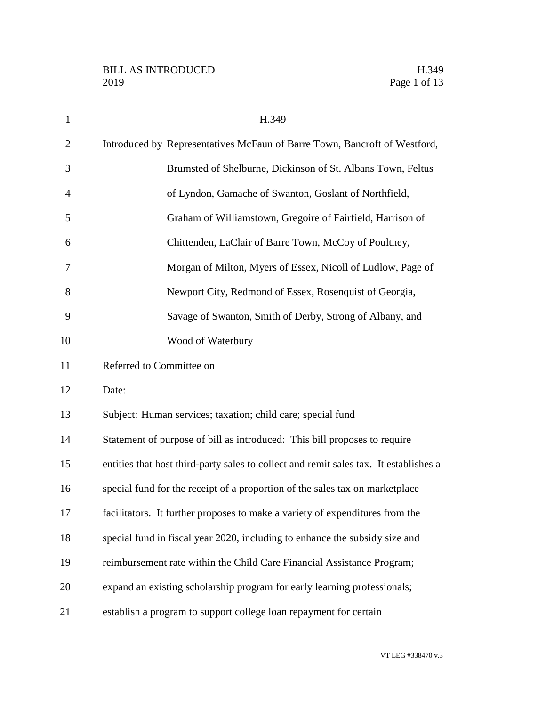| $\mathbf{1}$   | H.349                                                                                 |
|----------------|---------------------------------------------------------------------------------------|
| $\overline{2}$ | Introduced by Representatives McFaun of Barre Town, Bancroft of Westford,             |
| 3              | Brumsted of Shelburne, Dickinson of St. Albans Town, Feltus                           |
| $\overline{4}$ | of Lyndon, Gamache of Swanton, Goslant of Northfield,                                 |
| 5              | Graham of Williamstown, Gregoire of Fairfield, Harrison of                            |
| 6              | Chittenden, LaClair of Barre Town, McCoy of Poultney,                                 |
| 7              | Morgan of Milton, Myers of Essex, Nicoll of Ludlow, Page of                           |
| 8              | Newport City, Redmond of Essex, Rosenquist of Georgia,                                |
| 9              | Savage of Swanton, Smith of Derby, Strong of Albany, and                              |
| 10             | Wood of Waterbury                                                                     |
| 11             | Referred to Committee on                                                              |
| 12             | Date:                                                                                 |
| 13             | Subject: Human services; taxation; child care; special fund                           |
| 14             | Statement of purpose of bill as introduced: This bill proposes to require             |
| 15             | entities that host third-party sales to collect and remit sales tax. It establishes a |
| 16             | special fund for the receipt of a proportion of the sales tax on marketplace          |
| 17             | facilitators. It further proposes to make a variety of expenditures from the          |
| 18             | special fund in fiscal year 2020, including to enhance the subsidy size and           |
| 19             | reimbursement rate within the Child Care Financial Assistance Program;                |
| 20             | expand an existing scholarship program for early learning professionals;              |
| 21             | establish a program to support college loan repayment for certain                     |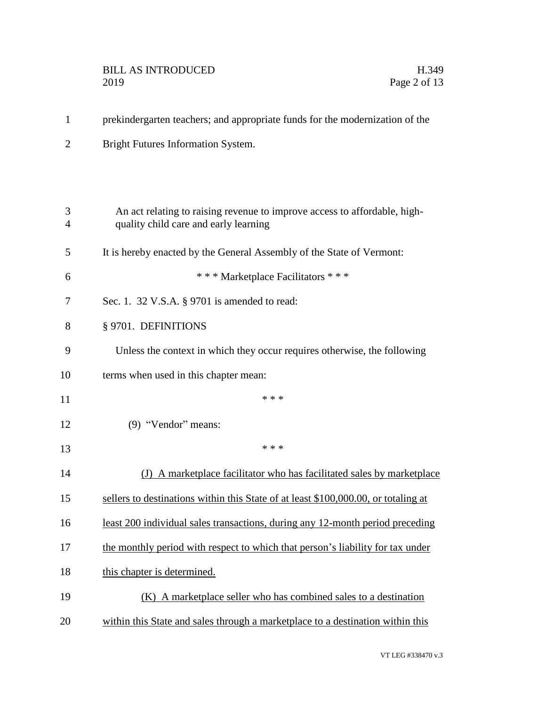## BILL AS INTRODUCED H.349<br>2019 Page 2 of 13

| $\overline{2}$ | <b>Bright Futures Information System.</b>                                                                          |
|----------------|--------------------------------------------------------------------------------------------------------------------|
|                |                                                                                                                    |
| 3<br>4         | An act relating to raising revenue to improve access to affordable, high-<br>quality child care and early learning |
| 5              | It is hereby enacted by the General Assembly of the State of Vermont:                                              |
| 6              | *** Marketplace Facilitators ***                                                                                   |
| 7              | Sec. 1. 32 V.S.A. $\S$ 9701 is amended to read:                                                                    |
| 8              | § 9701. DEFINITIONS                                                                                                |
| 9              | Unless the context in which they occur requires otherwise, the following                                           |
| 10             | terms when used in this chapter mean:                                                                              |
| 11             | * * *                                                                                                              |
| 12             | $(9)$ "Vendor" means:                                                                                              |
| 13             | * * *                                                                                                              |
| 14             | (J) A marketplace facilitator who has facilitated sales by marketplace                                             |
| 15             | sellers to destinations within this State of at least \$100,000.00, or totaling at                                 |
| 16             | <u>least 200 individual sales transactions, during any 12-month period preceding</u>                               |
| 17             | the monthly period with respect to which that person's liability for tax under                                     |
| 18             | this chapter is determined.                                                                                        |
| 19             | (K) A marketplace seller who has combined sales to a destination                                                   |
| 20             | within this State and sales through a marketplace to a destination within this                                     |
|                |                                                                                                                    |

1 prekindergarten teachers; and appropriate funds for the modernization of the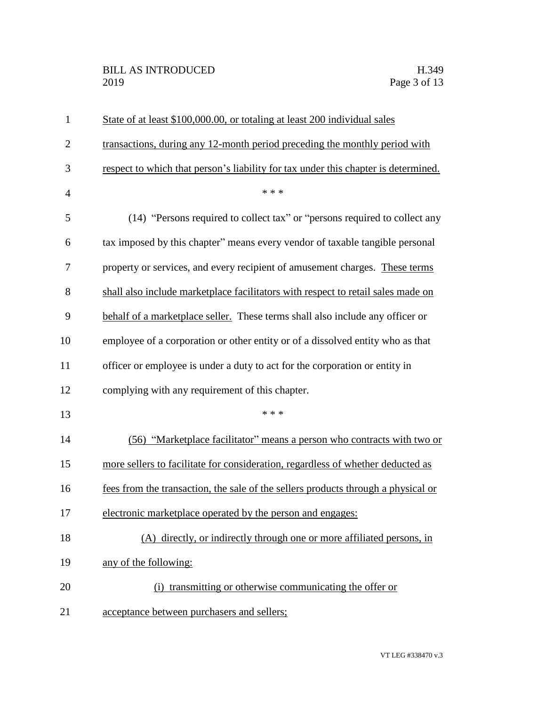| $\mathbf{1}$   | State of at least \$100,000.00, or totaling at least 200 individual sales          |
|----------------|------------------------------------------------------------------------------------|
| $\mathbf{2}$   | transactions, during any 12-month period preceding the monthly period with         |
| 3              | respect to which that person's liability for tax under this chapter is determined. |
| $\overline{4}$ | * * *                                                                              |
| 5              | (14) "Persons required to collect tax" or "persons required to collect any         |
| 6              | tax imposed by this chapter" means every vendor of taxable tangible personal       |
| 7              | property or services, and every recipient of amusement charges. These terms        |
| 8              | shall also include marketplace facilitators with respect to retail sales made on   |
| 9              | behalf of a marketplace seller. These terms shall also include any officer or      |
| 10             | employee of a corporation or other entity or of a dissolved entity who as that     |
| 11             | officer or employee is under a duty to act for the corporation or entity in        |
| 12             | complying with any requirement of this chapter.                                    |
| 13             | * * *                                                                              |
| 14             | (56) "Marketplace facilitator" means a person who contracts with two or            |
| 15             | more sellers to facilitate for consideration, regardless of whether deducted as    |
| 16             | fees from the transaction, the sale of the sellers products through a physical or  |
| 17             | electronic marketplace operated by the person and engages:                         |
| 18             | (A) directly, or indirectly through one or more affiliated persons, in             |
| 19             | any of the following:                                                              |
| 20             | (i) transmitting or otherwise communicating the offer or                           |
| 21             | acceptance between purchasers and sellers;                                         |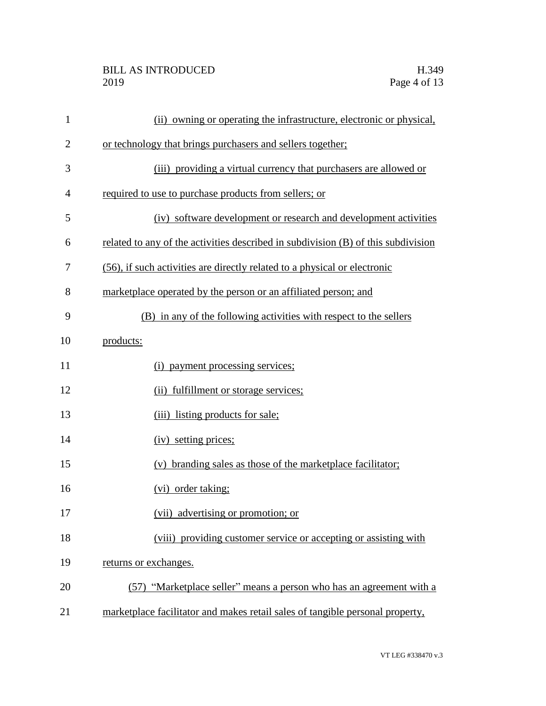## BILL AS INTRODUCED H.349<br>2019 Page 4 of 13

| $\mathbf{1}$   | (ii) owning or operating the infrastructure, electronic or physical,              |
|----------------|-----------------------------------------------------------------------------------|
| $\overline{2}$ | or technology that brings purchasers and sellers together;                        |
| 3              | (iii) providing a virtual currency that purchasers are allowed or                 |
| 4              | required to use to purchase products from sellers; or                             |
| 5              | (iv) software development or research and development activities                  |
| 6              | related to any of the activities described in subdivision (B) of this subdivision |
| 7              | (56), if such activities are directly related to a physical or electronic         |
| 8              | marketplace operated by the person or an affiliated person; and                   |
| 9              | (B) in any of the following activities with respect to the sellers                |
| 10             | products:                                                                         |
| 11             | payment processing services;<br>(i)                                               |
| 12             | (ii) fulfillment or storage services;                                             |
| 13             | (iii) listing products for sale;                                                  |
| 14             | (iv) setting prices;                                                              |
| 15             | (v) branding sales as those of the marketplace facilitator;                       |
| 16             | (vi) order taking;                                                                |
| 17             | (vii) advertising or promotion; or                                                |
| 18             | (viii) providing customer service or accepting or assisting with                  |
| 19             | returns or exchanges.                                                             |
| 20             | (57) "Marketplace seller" means a person who has an agreement with a              |
| 21             | marketplace facilitator and makes retail sales of tangible personal property,     |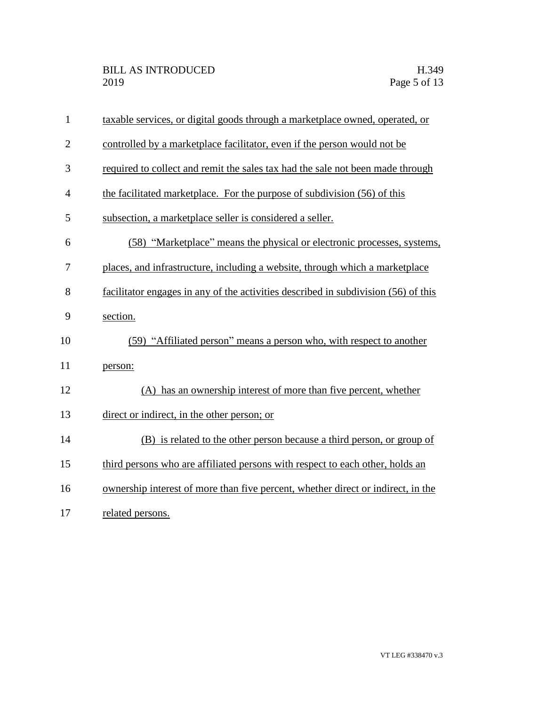| $\mathbf{1}$   | taxable services, or digital goods through a marketplace owned, operated, or       |
|----------------|------------------------------------------------------------------------------------|
| $\overline{2}$ | controlled by a marketplace facilitator, even if the person would not be           |
| 3              | required to collect and remit the sales tax had the sale not been made through     |
| 4              | the facilitated marketplace. For the purpose of subdivision (56) of this           |
| 5              | subsection, a marketplace seller is considered a seller.                           |
| 6              | (58) "Marketplace" means the physical or electronic processes, systems,            |
| 7              | places, and infrastructure, including a website, through which a marketplace       |
| 8              | facilitator engages in any of the activities described in subdivision (56) of this |
| 9              | section.                                                                           |
| 10             | (59) "Affiliated person" means a person who, with respect to another               |
| 11             | person:                                                                            |
| 12             | (A) has an ownership interest of more than five percent, whether                   |
| 13             | direct or indirect, in the other person; or                                        |
| 14             | (B) is related to the other person because a third person, or group of             |
| 15             | third persons who are affiliated persons with respect to each other, holds an      |
| 16             | ownership interest of more than five percent, whether direct or indirect, in the   |
| 17             | related persons.                                                                   |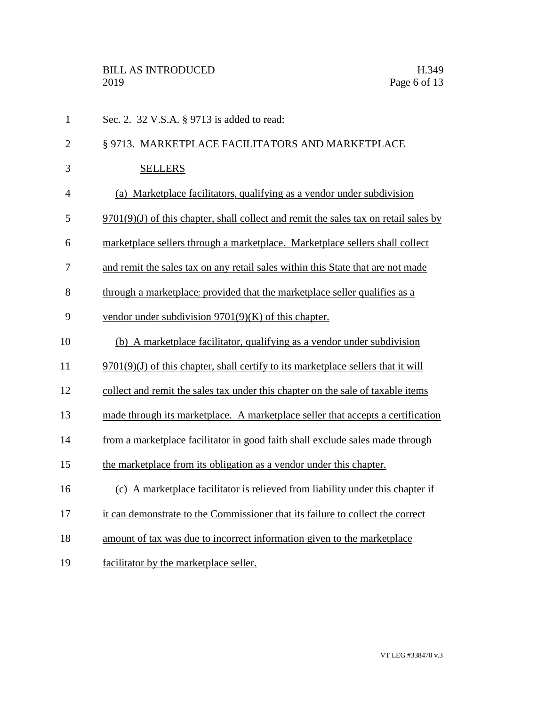| $\mathbf{1}$   | Sec. 2. 32 V.S.A. § 9713 is added to read:                                             |
|----------------|----------------------------------------------------------------------------------------|
| $\overline{2}$ | § 9713. MARKETPLACE FACILITATORS AND MARKETPLACE                                       |
| 3              | <b>SELLERS</b>                                                                         |
| $\overline{4}$ | (a) Marketplace facilitators, qualifying as a vendor under subdivision                 |
| 5              | $9701(9)(J)$ of this chapter, shall collect and remit the sales tax on retail sales by |
| 6              | marketplace sellers through a marketplace. Marketplace sellers shall collect           |
| 7              | and remit the sales tax on any retail sales within this State that are not made        |
| 8              | through a marketplace; provided that the marketplace seller qualifies as a             |
| 9              | vendor under subdivision $9701(9)(K)$ of this chapter.                                 |
| 10             | (b) A marketplace facilitator, qualifying as a vendor under subdivision                |
| 11             | $9701(9)(J)$ of this chapter, shall certify to its marketplace sellers that it will    |
| 12             | collect and remit the sales tax under this chapter on the sale of taxable items        |
| 13             | made through its marketplace. A marketplace seller that accepts a certification        |
| 14             | from a marketplace facilitator in good faith shall exclude sales made through          |
| 15             | the marketplace from its obligation as a vendor under this chapter.                    |
| 16             | (c) A marketplace facilitator is relieved from liability under this chapter if         |
| 17             | it can demonstrate to the Commissioner that its failure to collect the correct         |
| 18             | amount of tax was due to incorrect information given to the marketplace                |
| 19             | facilitator by the marketplace seller.                                                 |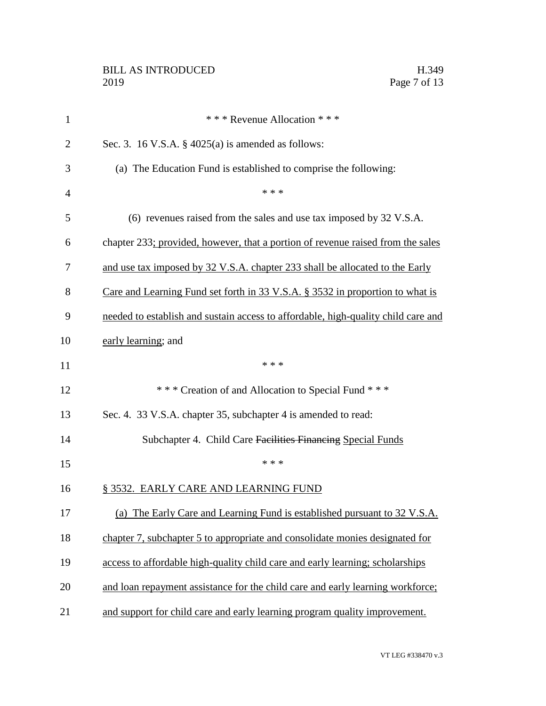| $\mathbf{1}$   | *** Revenue Allocation ***                                                        |
|----------------|-----------------------------------------------------------------------------------|
| $\overline{2}$ | Sec. 3. 16 V.S.A. $\S$ 4025(a) is amended as follows:                             |
| 3              | (a) The Education Fund is established to comprise the following:                  |
| $\overline{4}$ | * * *                                                                             |
| 5              | (6) revenues raised from the sales and use tax imposed by 32 V.S.A.               |
| 6              | chapter 233; provided, however, that a portion of revenue raised from the sales   |
| 7              | and use tax imposed by 32 V.S.A. chapter 233 shall be allocated to the Early      |
| 8              | Care and Learning Fund set forth in 33 V.S.A. § 3532 in proportion to what is     |
| 9              | needed to establish and sustain access to affordable, high-quality child care and |
| 10             | early learning; and                                                               |
| 11             | * * *                                                                             |
| 12             | *** Creation of and Allocation to Special Fund ***                                |
| 13             | Sec. 4. 33 V.S.A. chapter 35, subchapter 4 is amended to read:                    |
| 14             | Subchapter 4. Child Care Facilities Financing Special Funds                       |
| 15             | * * *                                                                             |
| 16             | § 3532. EARLY CARE AND LEARNING FUND                                              |
| 17             | (a) The Early Care and Learning Fund is established pursuant to 32 V.S.A.         |
| 18             | chapter 7, subchapter 5 to appropriate and consolidate monies designated for      |
| 19             | access to affordable high-quality child care and early learning; scholarships     |
| 20             | and loan repayment assistance for the child care and early learning workforce;    |
| 21             | and support for child care and early learning program quality improvement.        |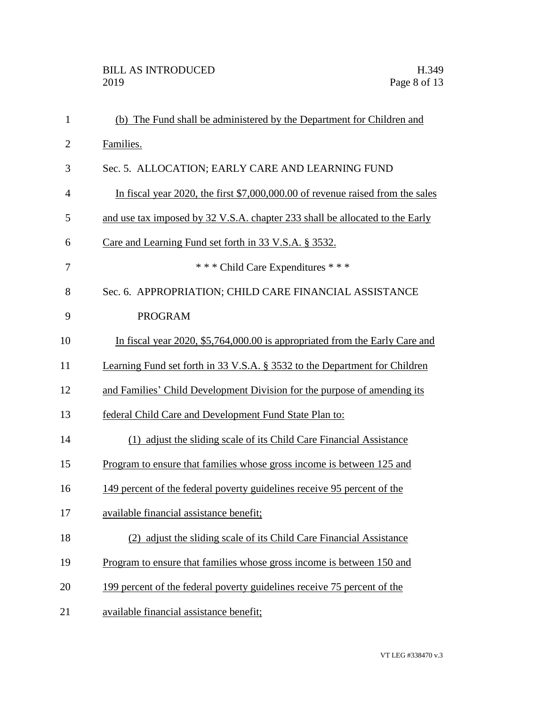| $\mathbf{1}$   | (b) The Fund shall be administered by the Department for Children and          |
|----------------|--------------------------------------------------------------------------------|
| $\overline{2}$ | Families.                                                                      |
| 3              | Sec. 5. ALLOCATION; EARLY CARE AND LEARNING FUND                               |
| $\overline{4}$ | In fiscal year 2020, the first \$7,000,000.00 of revenue raised from the sales |
| 5              | and use tax imposed by 32 V.S.A. chapter 233 shall be allocated to the Early   |
| 6              | Care and Learning Fund set forth in 33 V.S.A. § 3532.                          |
| 7              | *** Child Care Expenditures ***                                                |
| 8              | Sec. 6. APPROPRIATION; CHILD CARE FINANCIAL ASSISTANCE                         |
| 9              | <b>PROGRAM</b>                                                                 |
| 10             | In fiscal year 2020, \$5,764,000.00 is appropriated from the Early Care and    |
| 11             | Learning Fund set forth in 33 V.S.A. § 3532 to the Department for Children     |
| 12             | and Families' Child Development Division for the purpose of amending its       |
| 13             | federal Child Care and Development Fund State Plan to:                         |
| 14             | (1) adjust the sliding scale of its Child Care Financial Assistance            |
| 15             | Program to ensure that families whose gross income is between 125 and          |
| 16             | 149 percent of the federal poverty guidelines receive 95 percent of the        |
| 17             | available financial assistance benefit;                                        |
| 18             | (2) adjust the sliding scale of its Child Care Financial Assistance            |
| 19             | Program to ensure that families whose gross income is between 150 and          |
| 20             | 199 percent of the federal poverty guidelines receive 75 percent of the        |
| 21             | available financial assistance benefit;                                        |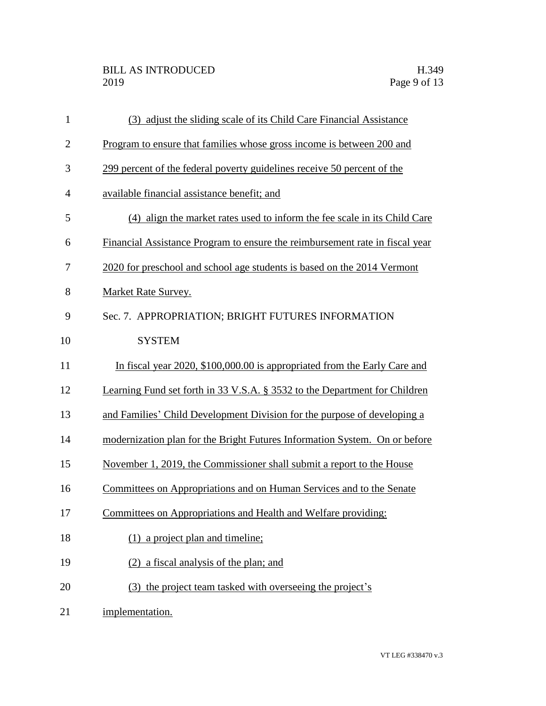| $\mathbf{1}$   | (3) adjust the sliding scale of its Child Care Financial Assistance          |
|----------------|------------------------------------------------------------------------------|
| $\overline{2}$ | Program to ensure that families whose gross income is between 200 and        |
| 3              | 299 percent of the federal poverty guidelines receive 50 percent of the      |
| 4              | available financial assistance benefit; and                                  |
| 5              | (4) align the market rates used to inform the fee scale in its Child Care    |
| 6              | Financial Assistance Program to ensure the reimbursement rate in fiscal year |
| 7              | 2020 for preschool and school age students is based on the 2014 Vermont      |
| 8              | Market Rate Survey.                                                          |
| 9              | Sec. 7. APPROPRIATION; BRIGHT FUTURES INFORMATION                            |
| 10             | <b>SYSTEM</b>                                                                |
| 11             | In fiscal year 2020, \$100,000.00 is appropriated from the Early Care and    |
| 12             | Learning Fund set forth in 33 V.S.A. § 3532 to the Department for Children   |
| 13             | and Families' Child Development Division for the purpose of developing a     |
| 14             | modernization plan for the Bright Futures Information System. On or before   |
| 15             | November 1, 2019, the Commissioner shall submit a report to the House        |
| 16             | Committees on Appropriations and on Human Services and to the Senate         |
| 17             | Committees on Appropriations and Health and Welfare providing:               |
| 18             | (1) a project plan and timeline;                                             |
| 19             | (2) a fiscal analysis of the plan; and                                       |
| 20             | (3) the project team tasked with overseeing the project's                    |
| 21             | implementation.                                                              |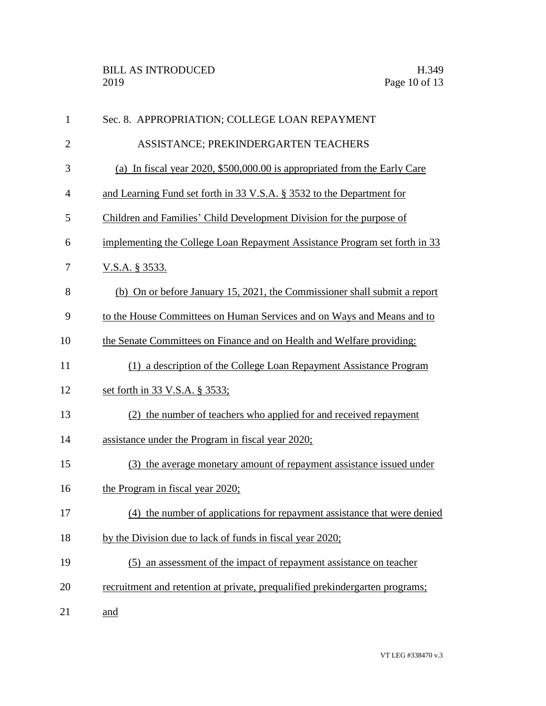| $\mathbf{1}$   | Sec. 8. APPROPRIATION; COLLEGE LOAN REPAYMENT                                |
|----------------|------------------------------------------------------------------------------|
| $\overline{2}$ | ASSISTANCE; PREKINDERGARTEN TEACHERS                                         |
| 3              | (a) In fiscal year 2020, \$500,000.00 is appropriated from the Early Care    |
| 4              | and Learning Fund set forth in 33 V.S.A. § 3532 to the Department for        |
| 5              | Children and Families' Child Development Division for the purpose of         |
| 6              | implementing the College Loan Repayment Assistance Program set forth in 33   |
| 7              | <u>V.S.A. § 3533.</u>                                                        |
| 8              | (b) On or before January 15, 2021, the Commissioner shall submit a report    |
| 9              | to the House Committees on Human Services and on Ways and Means and to       |
| 10             | the Senate Committees on Finance and on Health and Welfare providing:        |
| 11             | (1) a description of the College Loan Repayment Assistance Program           |
| 12             | set forth in 33 V.S.A. § 3533;                                               |
| 13             | (2) the number of teachers who applied for and received repayment            |
| 14             | assistance under the Program in fiscal year 2020;                            |
| 15             | (3) the average monetary amount of repayment assistance issued under         |
| 16             | the Program in fiscal year 2020;                                             |
| 17             | (4) the number of applications for repayment assistance that were denied     |
| 18             | by the Division due to lack of funds in fiscal year 2020;                    |
| 19             | (5) an assessment of the impact of repayment assistance on teacher           |
| 20             | recruitment and retention at private, prequalified prekindergarten programs; |
| 21             | and                                                                          |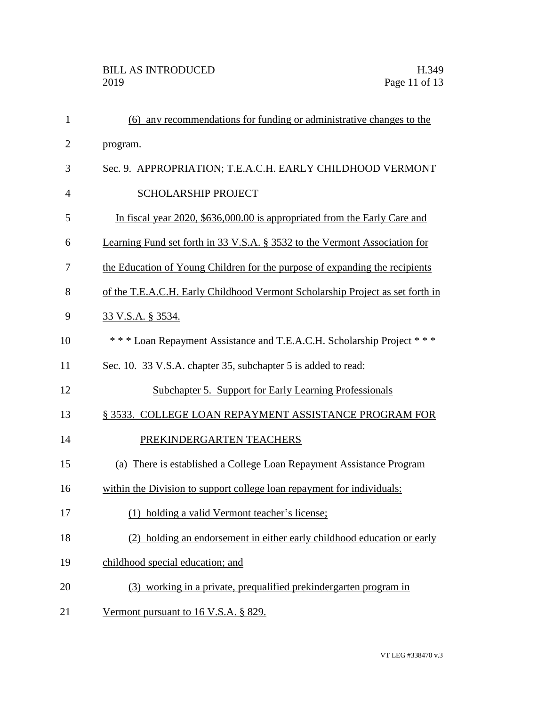| 1              | (6) any recommendations for funding or administrative changes to the          |
|----------------|-------------------------------------------------------------------------------|
| $\overline{2}$ | program.                                                                      |
| 3              | Sec. 9. APPROPRIATION; T.E.A.C.H. EARLY CHILDHOOD VERMONT                     |
| 4              | <b>SCHOLARSHIP PROJECT</b>                                                    |
| 5              | In fiscal year 2020, \$636,000.00 is appropriated from the Early Care and     |
| 6              | Learning Fund set forth in 33 V.S.A. § 3532 to the Vermont Association for    |
| 7              | the Education of Young Children for the purpose of expanding the recipients   |
| 8              | of the T.E.A.C.H. Early Childhood Vermont Scholarship Project as set forth in |
| 9              | <u>33 V.S.A. § 3534.</u>                                                      |
| 10             | *** Loan Repayment Assistance and T.E.A.C.H. Scholarship Project ***          |
| 11             | Sec. 10. 33 V.S.A. chapter 35, subchapter 5 is added to read:                 |
| 12             | Subchapter 5. Support for Early Learning Professionals                        |
| 13             | § 3533. COLLEGE LOAN REPAYMENT ASSISTANCE PROGRAM FOR                         |
| 14             | PREKINDERGARTEN TEACHERS                                                      |
| 15             | There is established a College Loan Repayment Assistance Program<br>(a)       |
| 16             | within the Division to support college loan repayment for individuals:        |
| 17             | (1) holding a valid Vermont teacher's license;                                |
| 18             | (2) holding an endorsement in either early childhood education or early       |
| 19             | childhood special education; and                                              |
| 20             | (3) working in a private, prequalified prekindergarten program in             |
| 21             | Vermont pursuant to 16 V.S.A. § 829.                                          |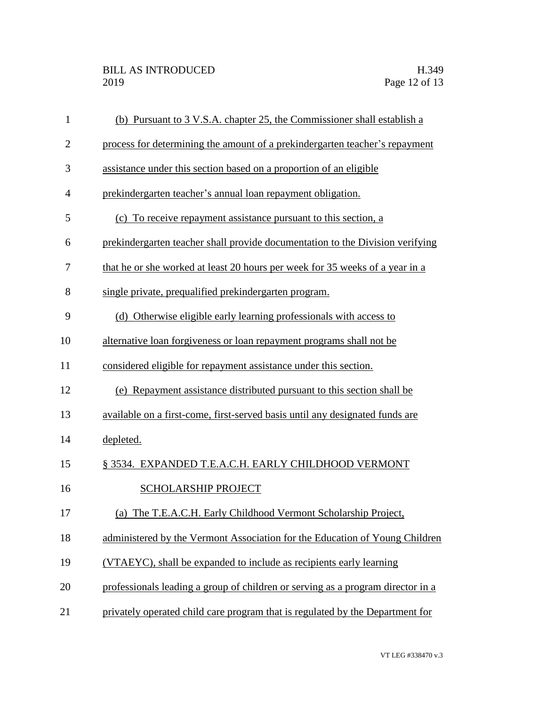| $\mathbf{1}$   | (b) Pursuant to 3 V.S.A. chapter 25, the Commissioner shall establish a         |
|----------------|---------------------------------------------------------------------------------|
| $\overline{2}$ | process for determining the amount of a prekindergarten teacher's repayment     |
| 3              | assistance under this section based on a proportion of an eligible              |
| $\overline{4}$ | prekindergarten teacher's annual loan repayment obligation.                     |
| 5              | (c) To receive repayment assistance pursuant to this section, a                 |
| 6              | prekindergarten teacher shall provide documentation to the Division verifying   |
| 7              | that he or she worked at least 20 hours per week for 35 weeks of a year in a    |
| 8              | single private, prequalified prekindergarten program.                           |
| 9              | (d) Otherwise eligible early learning professionals with access to              |
| 10             | alternative loan forgiveness or loan repayment programs shall not be            |
| 11             | considered eligible for repayment assistance under this section.                |
| 12             | (e) Repayment assistance distributed pursuant to this section shall be          |
| 13             | available on a first-come, first-served basis until any designated funds are    |
| 14             | depleted.                                                                       |
| 15             | § 3534. EXPANDED T.E.A.C.H. EARLY CHILDHOOD VERMONT                             |
| 16             | <b>SCHOLARSHIP PROJECT</b>                                                      |
| 17             | (a) The T.E.A.C.H. Early Childhood Vermont Scholarship Project,                 |
| 18             | administered by the Vermont Association for the Education of Young Children     |
| 19             | (VTAEYC), shall be expanded to include as recipients early learning             |
| 20             | professionals leading a group of children or serving as a program director in a |
| 21             | privately operated child care program that is regulated by the Department for   |